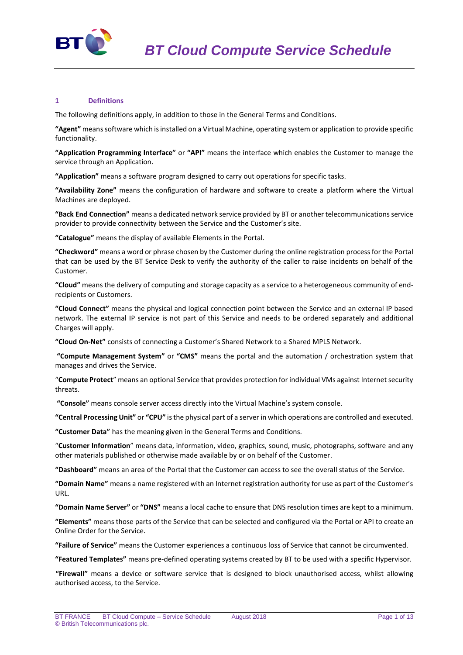

## **1 Definitions**

The following definitions apply, in addition to those in the General Terms and Conditions.

**"Agent"** means software which is installed on a Virtual Machine, operating system or application to provide specific functionality.

**"Application Programming Interface"** or **"API"** means the interface which enables the Customer to manage the service through an Application.

**"Application"** means a software program designed to carry out operations for specific tasks.

**"Availability Zone"** means the configuration of hardware and software to create a platform where the Virtual Machines are deployed.

**"Back End Connection"** means a dedicated network service provided by BT or another telecommunications service provider to provide connectivity between the Service and the Customer's site.

**"Catalogue"** means the display of available Elements in the Portal.

**"Checkword"** means a word or phrase chosen by the Customer during the online registration process for the Portal that can be used by the BT Service Desk to verify the authority of the caller to raise incidents on behalf of the Customer.

**"Cloud"** means the delivery of computing and storage capacity as a service to a heterogeneous community of endrecipients or Customers.

**"Cloud Connect"** means the physical and logical connection point between the Service and an external IP based network. The external IP service is not part of this Service and needs to be ordered separately and additional Charges will apply.

**"Cloud On-Net"** consists of connecting a Customer's Shared Network to a Shared MPLS Network.

**"Compute Management System"** or **"CMS"** means the portal and the automation / orchestration system that manages and drives the Service.

"**Compute Protect**" means an optional Service that provides protection for individual VMs against Internet security threats.

**"Console"** means console server access directly into the Virtual Machine's system console.

**"Central Processing Unit"** or **"CPU"** is the physical part of a server in which operations are controlled and executed.

**"Customer Data"** has the meaning given in the General Terms and Conditions.

"**Customer Information**" means data, information, video, graphics, sound, music, photographs, software and any other materials published or otherwise made available by or on behalf of the Customer.

**"Dashboard"** means an area of the Portal that the Customer can access to see the overall status of the Service.

**"Domain Name"** means a name registered with an Internet registration authority for use as part of the Customer's URL.

**"Domain Name Server"** or **"DNS"** means a local cache to ensure that DNS resolution times are kept to a minimum.

**"Elements"** means those parts of the Service that can be selected and configured via the Portal or API to create an Online Order for the Service.

**"Failure of Service"** means the Customer experiences a continuous loss of Service that cannot be circumvented.

**"Featured Templates"** means pre-defined operating systems created by BT to be used with a specific Hypervisor.

**"Firewall"** means a device or software service that is designed to block unauthorised access, whilst allowing authorised access, to the Service.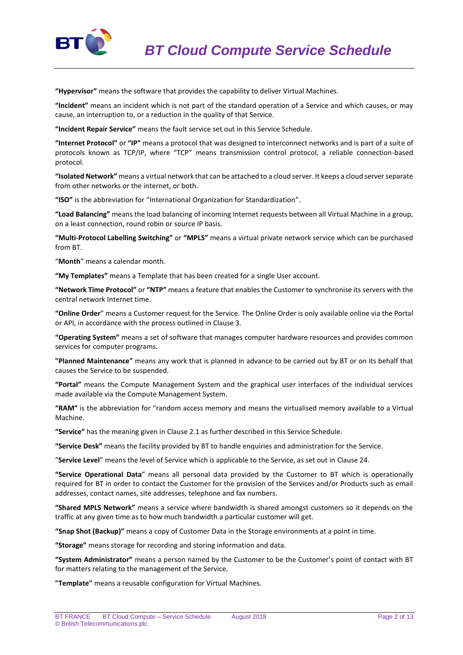

**"Hypervisor"** means the software that provides the capability to deliver Virtual Machines.

**"Incident"** means an incident which is not part of the standard operation of a Service and which causes, or may cause, an interruption to, or a reduction in the quality of that Service.

**"Incident Repair Service"** means the fault service set out in this Service Schedule.

**"Internet Protocol"** or **"IP"** means a protocol that was designed to interconnect networks and is part of a suite of protocols known as TCP/IP, where "TCP" means transmission control protocol, a reliable connection-based protocol.

**"Isolated Network"** means a virtual network that can be attached to a cloud server. It keeps a cloud server separate from other networks or the internet, or both.

**"ISO"** is the abbreviation for "International Organization for Standardization".

**"Load Balancing"** means the load balancing of incoming Internet requests between all Virtual Machine in a group, on a least connection, round robin or source IP basis.

**"Multi-Protocol Labelling Switching"** or **"MPLS"** means a virtual private network service which can be purchased from BT.

"**Month**" means a calendar month.

**"My Templates"** means a Template that has been created for a single User account.

**"Network Time Protocol"** or **"NTP"** means a feature that enables the Customer to synchronise its servers with the central network Internet time.

**"Online Order**" means a Customer request for the Service. The Online Order is only available online via the Portal or API, in accordance with the process outlined in Clause 3.

**"Operating System"** means a set of software that manages computer hardware resources and provides common services for computer programs.

**"Planned Maintenance"** means any work that is planned in advance to be carried out by BT or on its behalf that causes the Service to be suspended.

**"Portal"** means the Compute Management System and the graphical user interfaces of the individual services made available via the Compute Management System.

**"RAM"** is the abbreviation for "random access memory and means the virtualised memory available to a Virtual Machine.

**"Service"** has the meaning given in Clause 2.1 as further described in this Service Schedule.

**"Service Desk"** means the facility provided by BT to handle enquiries and administration for the Service.

"**Service Level**" means the level of Service which is applicable to the Service, as set out in Clause 24.

**"Service Operational Data**" means all personal data provided by the Customer to BT which is operationally required for BT in order to contact the Customer for the provision of the Services and/or Products such as email addresses, contact names, site addresses, telephone and fax numbers.

**"Shared MPLS Network"** means a service where bandwidth is shared amongst customers so it depends on the traffic at any given time as to how much bandwidth a particular customer will get.

**"Snap Shot (Backup)"** means a copy of Customer Data in the Storage environments at a point in time.

**"Storage"** means storage for recording and storing information and data.

**"System Administrator"** means a person named by the Customer to be the Customer's point of contact with BT for matters relating to the management of the Service.

**"Template"** means a reusable configuration for Virtual Machines.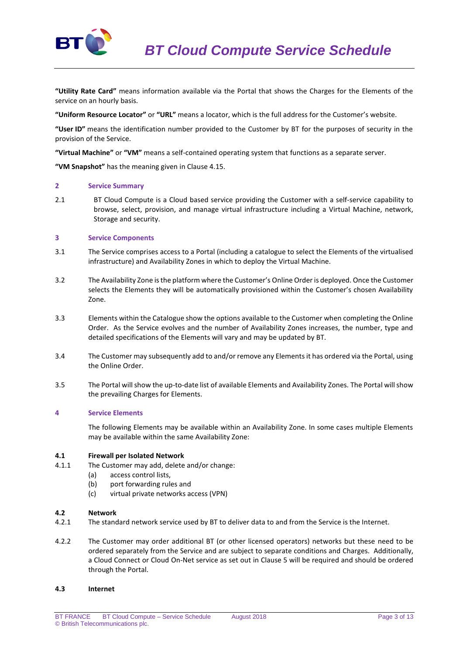

**"Utility Rate Card"** means information available via the Portal that shows the Charges for the Elements of the service on an hourly basis.

**"Uniform Resource Locator"** or **"URL"** means a locator, which is the full address for the Customer's website.

**"User ID"** means the identification number provided to the Customer by BT for the purposes of security in the provision of the Service.

**"Virtual Machine"** or **"VM"** means a self-contained operating system that functions as a separate server.

**"VM Snapshot"** has the meaning given in Clause 4.15.

#### **2 Service Summary**

2.1 BT Cloud Compute is a Cloud based service providing the Customer with a self-service capability to browse, select, provision, and manage virtual infrastructure including a Virtual Machine, network, Storage and security.

### **3 Service Components**

- 3.1 The Service comprises access to a Portal (including a catalogue to select the Elements of the virtualised infrastructure) and Availability Zones in which to deploy the Virtual Machine.
- 3.2 The Availability Zone is the platform where the Customer's Online Order is deployed. Once the Customer selects the Elements they will be automatically provisioned within the Customer's chosen Availability Zone.
- 3.3 Elements within the Catalogue show the options available to the Customer when completing the Online Order. As the Service evolves and the number of Availability Zones increases, the number, type and detailed specifications of the Elements will vary and may be updated by BT.
- 3.4 The Customer may subsequently add to and/or remove any Elements it has ordered via the Portal, using the Online Order.
- 3.5 The Portal will show the up-to-date list of available Elements and Availability Zones. The Portal will show the prevailing Charges for Elements.

## **4 Service Elements**

The following Elements may be available within an Availability Zone. In some cases multiple Elements may be available within the same Availability Zone:

#### **4.1 Firewall per Isolated Network**

- 4.1.1 The Customer may add, delete and/or change:
	- (a) access control lists,
	- (b) port forwarding rules and
	- (c) virtual private networks access (VPN)

#### **4.2 Network**

- 4.2.1 The standard network service used by BT to deliver data to and from the Service is the Internet.
- 4.2.2 The Customer may order additional BT (or other licensed operators) networks but these need to be ordered separately from the Service and are subject to separate conditions and Charges. Additionally, a Cloud Connect or Cloud On-Net service as set out in Clause 5 will be required and should be ordered through the Portal.

#### **4.3 Internet**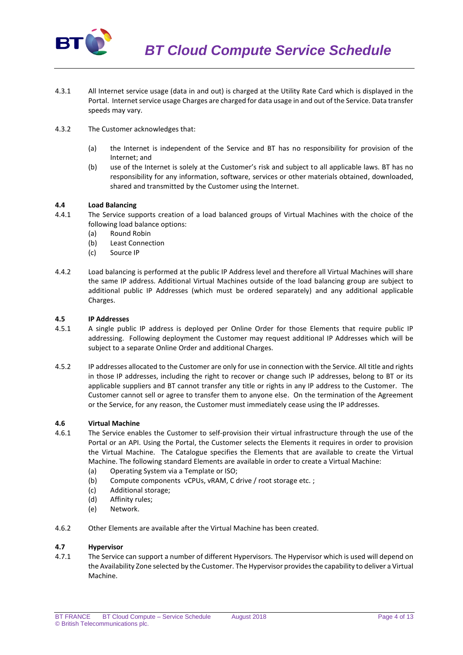

- 4.3.1 All Internet service usage (data in and out) is charged at the Utility Rate Card which is displayed in the Portal. Internet service usage Charges are charged for data usage in and out of the Service. Data transfer speeds may vary.
- 4.3.2 The Customer acknowledges that:
	- (a) the Internet is independent of the Service and BT has no responsibility for provision of the Internet; and
	- (b) use of the Internet is solely at the Customer's risk and subject to all applicable laws. BT has no responsibility for any information, software, services or other materials obtained, downloaded, shared and transmitted by the Customer using the Internet.

## **4.4 Load Balancing**

- 4.4.1 The Service supports creation of a load balanced groups of Virtual Machines with the choice of the following load balance options:
	- (a) Round Robin
	- (b) Least Connection
	- (c) Source IP
- 4.4.2 Load balancing is performed at the public IP Address level and therefore all Virtual Machines will share the same IP address. Additional Virtual Machines outside of the load balancing group are subject to additional public IP Addresses (which must be ordered separately) and any additional applicable Charges.

## **4.5 IP Addresses**

- 4.5.1 A single public IP address is deployed per Online Order for those Elements that require public IP addressing. Following deployment the Customer may request additional IP Addresses which will be subject to a separate Online Order and additional Charges.
- 4.5.2 IP addresses allocated to the Customer are only for use in connection with the Service. All title and rights in those IP addresses, including the right to recover or change such IP addresses, belong to BT or its applicable suppliers and BT cannot transfer any title or rights in any IP address to the Customer. The Customer cannot sell or agree to transfer them to anyone else. On the termination of the Agreement or the Service, for any reason, the Customer must immediately cease using the IP addresses.

# **4.6 Virtual Machine**

- 4.6.1 The Service enables the Customer to self-provision their virtual infrastructure through the use of the Portal or an API. Using the Portal, the Customer selects the Elements it requires in order to provision the Virtual Machine. The Catalogue specifies the Elements that are available to create the Virtual Machine. The following standard Elements are available in order to create a Virtual Machine:
	- (a) Operating System via a Template or ISO;
	- (b) Compute components vCPUs, vRAM, C drive / root storage etc. ;
	- (c) Additional storage;
	- (d) Affinity rules;
	- (e) Network.
- 4.6.2 Other Elements are available after the Virtual Machine has been created.

## **4.7 Hypervisor**

4.7.1 The Service can support a number of different Hypervisors. The Hypervisor which is used will depend on the Availability Zone selected by the Customer. The Hypervisor provides the capability to deliver a Virtual Machine.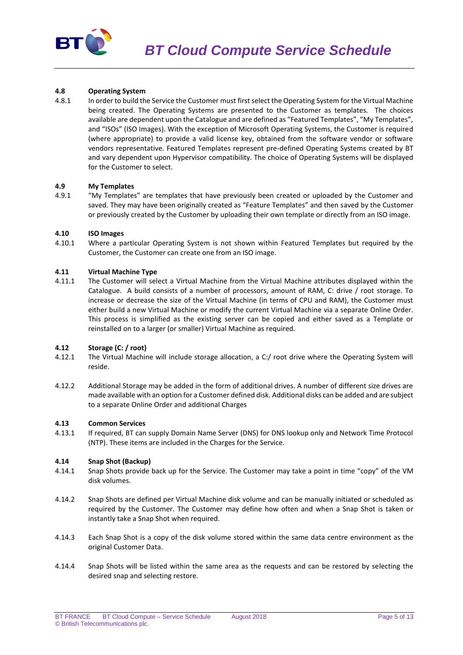

## **4.8 Operating System**

4.8.1 In order to build the Service the Customer must first select the Operating System for the Virtual Machine being created. The Operating Systems are presented to the Customer as templates. The choices available are dependent upon the Catalogue and are defined as "Featured Templates", "My Templates", and "ISOs" (ISO Images). With the exception of Microsoft Operating Systems, the Customer is required (where appropriate) to provide a valid license key, obtained from the software vendor or software vendors representative. Featured Templates represent pre-defined Operating Systems created by BT and vary dependent upon Hypervisor compatibility. The choice of Operating Systems will be displayed for the Customer to select.

## **4.9 My Templates**

4.9.1 "My Templates" are templates that have previously been created or uploaded by the Customer and saved. They may have been originally created as "Feature Templates" and then saved by the Customer or previously created by the Customer by uploading their own template or directly from an ISO image.

### **4.10 ISO Images**

4.10.1 Where a particular Operating System is not shown within Featured Templates but required by the Customer, the Customer can create one from an ISO image.

## **4.11 Virtual Machine Type**

4.11.1 The Customer will select a Virtual Machine from the Virtual Machine attributes displayed within the Catalogue. A build consists of a number of processors, amount of RAM, C: drive / root storage. To increase or decrease the size of the Virtual Machine (in terms of CPU and RAM), the Customer must either build a new Virtual Machine or modify the current Virtual Machine via a separate Online Order. This process is simplified as the existing server can be copied and either saved as a Template or reinstalled on to a larger (or smaller) Virtual Machine as required.

#### **4.12 Storage (C: / root)**

- 4.12.1 The Virtual Machine will include storage allocation, a C:/ root drive where the Operating System will reside.
- 4.12.2 Additional Storage may be added in the form of additional drives. A number of different size drives are made available with an option for a Customer defined disk. Additional disks can be added and are subject to a separate Online Order and additional Charges

## **4.13 Common Services**

4.13.1 If required, BT can supply Domain Name Server (DNS) for DNS lookup only and Network Time Protocol (NTP). These items are included in the Charges for the Service.

#### **4.14 Snap Shot (Backup)**

- 4.14.1 Snap Shots provide back up for the Service. The Customer may take a point in time "copy" of the VM disk volumes.
- 4.14.2 Snap Shots are defined per Virtual Machine disk volume and can be manually initiated or scheduled as required by the Customer. The Customer may define how often and when a Snap Shot is taken or instantly take a Snap Shot when required.
- 4.14.3 Each Snap Shot is a copy of the disk volume stored within the same data centre environment as the original Customer Data.
- 4.14.4 Snap Shots will be listed within the same area as the requests and can be restored by selecting the desired snap and selecting restore.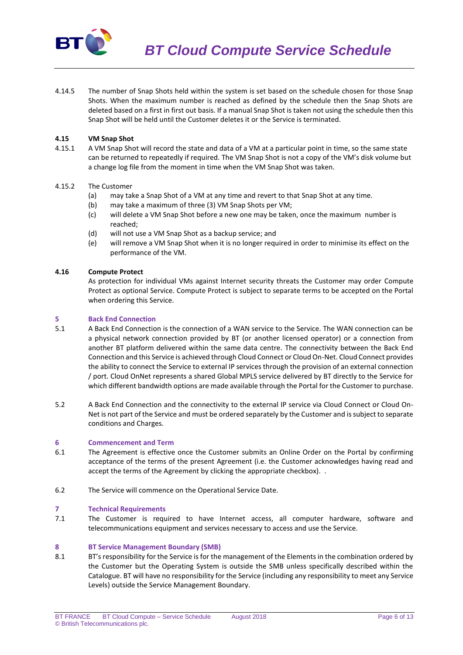

4.14.5 The number of Snap Shots held within the system is set based on the schedule chosen for those Snap Shots. When the maximum number is reached as defined by the schedule then the Snap Shots are deleted based on a first in first out basis. If a manual Snap Shot is taken not using the schedule then this Snap Shot will be held until the Customer deletes it or the Service is terminated.

## **4.15 VM Snap Shot**

4.15.1 A VM Snap Shot will record the state and data of a VM at a particular point in time, so the same state can be returned to repeatedly if required. The VM Snap Shot is not a copy of the VM's disk volume but a change log file from the moment in time when the VM Snap Shot was taken.

## 4.15.2 The Customer

- (a) may take a Snap Shot of a VM at any time and revert to that Snap Shot at any time.
- (b) may take a maximum of three (3) VM Snap Shots per VM;
- (c) will delete a VM Snap Shot before a new one may be taken, once the maximum number is reached;
- (d) will not use a VM Snap Shot as a backup service; and
- (e) will remove a VM Snap Shot when it is no longer required in order to minimise its effect on the performance of the VM.

### **4.16 Compute Protect**

As protection for individual VMs against Internet security threats the Customer may order Compute Protect as optional Service. Compute Protect is subject to separate terms to be accepted on the Portal when ordering this Service.

## **5 Back End Connection**

- 5.1 A Back End Connection is the connection of a WAN service to the Service. The WAN connection can be a physical network connection provided by BT (or another licensed operator) or a connection from another BT platform delivered within the same data centre. The connectivity between the Back End Connection and this Service is achieved through Cloud Connect or Cloud On-Net. Cloud Connect provides the ability to connect the Service to external IP services through the provision of an external connection / port. Cloud OnNet represents a shared Global MPLS service delivered by BT directly to the Service for which different bandwidth options are made available through the Portal for the Customer to purchase.
- 5.2 A Back End Connection and the connectivity to the external IP service via Cloud Connect or Cloud On-Net is not part of the Service and must be ordered separately by the Customer and is subject to separate conditions and Charges.

#### **6 Commencement and Term**

- 6.1 The Agreement is effective once the Customer submits an Online Order on the Portal by confirming acceptance of the terms of the present Agreement (i.e. the Customer acknowledges having read and accept the terms of the Agreement by clicking the appropriate checkbox). .
- 6.2 The Service will commence on the Operational Service Date.

#### **7 Technical Requirements**

7.1 The Customer is required to have Internet access, all computer hardware, software and telecommunications equipment and services necessary to access and use the Service.

#### **8 BT Service Management Boundary (SMB)**

8.1 BT's responsibility for the Service is for the management of the Elements in the combination ordered by the Customer but the Operating System is outside the SMB unless specifically described within the Catalogue. BT will have no responsibility for the Service (including any responsibility to meet any Service Levels) outside the Service Management Boundary.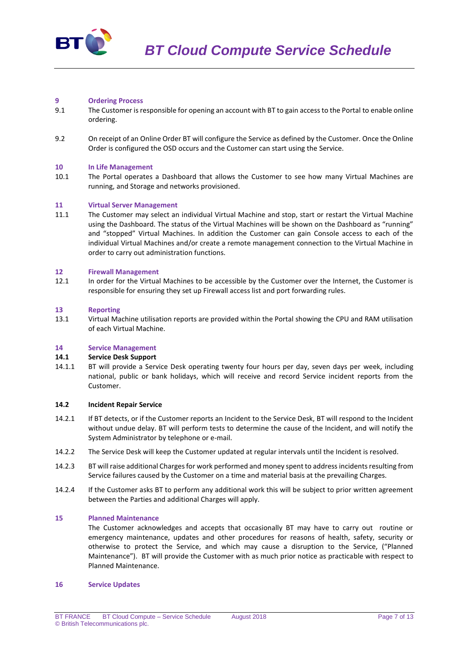

### **9 Ordering Process**

- 9.1 The Customer is responsible for opening an account with BT to gain access to the Portal to enable online ordering.
- 9.2 On receipt of an Online Order BT will configure the Service as defined by the Customer. Once the Online Order is configured the OSD occurs and the Customer can start using the Service.

### **10 In Life Management**

10.1 The Portal operates a Dashboard that allows the Customer to see how many Virtual Machines are running, and Storage and networks provisioned.

### **11 Virtual Server Management**

11.1 The Customer may select an individual Virtual Machine and stop, start or restart the Virtual Machine using the Dashboard. The status of the Virtual Machines will be shown on the Dashboard as "running" and "stopped" Virtual Machines. In addition the Customer can gain Console access to each of the individual Virtual Machines and/or create a remote management connection to the Virtual Machine in order to carry out administration functions.

### **12 Firewall Management**

12.1 In order for the Virtual Machines to be accessible by the Customer over the Internet, the Customer is responsible for ensuring they set up Firewall access list and port forwarding rules.

#### **13 Reporting**

13.1 Virtual Machine utilisation reports are provided within the Portal showing the CPU and RAM utilisation of each Virtual Machine.

#### **14 Service Management**

#### **14.1 Service Desk Support**

14.1.1 BT will provide a Service Desk operating twenty four hours per day, seven days per week, including national, public or bank holidays, which will receive and record Service incident reports from the Customer.

## **14.2 Incident Repair Service**

- 14.2.1 If BT detects, or if the Customer reports an Incident to the Service Desk, BT will respond to the Incident without undue delay. BT will perform tests to determine the cause of the Incident, and will notify the System Administrator by telephone or e-mail.
- 14.2.2 The Service Desk will keep the Customer updated at regular intervals until the Incident is resolved.
- 14.2.3 BT will raise additional Charges for work performed and money spent to addressincidents resulting from Service failures caused by the Customer on a time and material basis at the prevailing Charges.
- 14.2.4 If the Customer asks BT to perform any additional work this will be subject to prior written agreement between the Parties and additional Charges will apply.

### **15 Planned Maintenance**

The Customer acknowledges and accepts that occasionally BT may have to carry out routine or emergency maintenance, updates and other procedures for reasons of health, safety, security or otherwise to protect the Service, and which may cause a disruption to the Service, ("Planned Maintenance"). BT will provide the Customer with as much prior notice as practicable with respect to Planned Maintenance.

#### **16 Service Updates**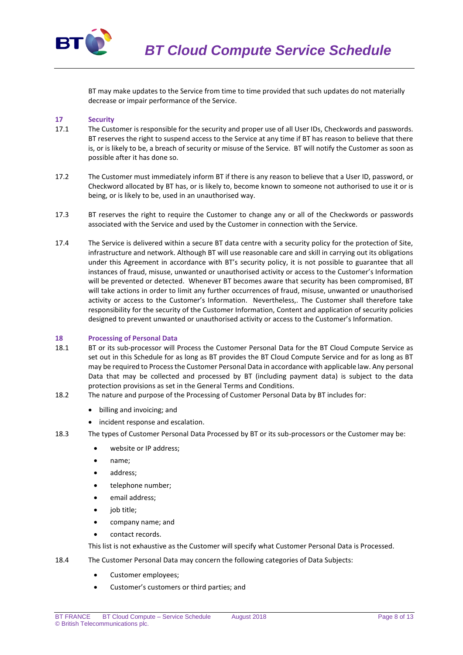

BT may make updates to the Service from time to time provided that such updates do not materially decrease or impair performance of the Service.

## **17 Security**

- 17.1 The Customer is responsible for the security and proper use of all User IDs, Checkwords and passwords. BT reserves the right to suspend access to the Service at any time if BT has reason to believe that there is, or is likely to be, a breach of security or misuse of the Service. BT will notify the Customer as soon as possible after it has done so.
- 17.2 The Customer must immediately inform BT if there is any reason to believe that a User ID, password, or Checkword allocated by BT has, or is likely to, become known to someone not authorised to use it or is being, or is likely to be, used in an unauthorised way.
- 17.3 BT reserves the right to require the Customer to change any or all of the Checkwords or passwords associated with the Service and used by the Customer in connection with the Service.
- 17.4 The Service is delivered within a secure BT data centre with a security policy for the protection of Site, infrastructure and network. Although BT will use reasonable care and skill in carrying out its obligations under this Agreement in accordance with BT's security policy, it is not possible to guarantee that all instances of fraud, misuse, unwanted or unauthorised activity or access to the Customer's Information will be prevented or detected. Whenever BT becomes aware that security has been compromised, BT will take actions in order to limit any further occurrences of fraud, misuse, unwanted or unauthorised activity or access to the Customer's Information. Nevertheless,. The Customer shall therefore take responsibility for the security of the Customer Information, Content and application of security policies designed to prevent unwanted or unauthorised activity or access to the Customer's Information.

#### **18 Processing of Personal Data**

- 18.1 BT or its sub-processor will Process the Customer Personal Data for the BT Cloud Compute Service as set out in this Schedule for as long as BT provides the BT Cloud Compute Service and for as long as BT may be required to Process the Customer Personal Data in accordance with applicable law. Any personal Data that may be collected and processed by BT (including payment data) is subject to the data protection provisions as set in the General Terms and Conditions.
- 18.2 The nature and purpose of the Processing of Customer Personal Data by BT includes for:
	- billing and invoicing; and
	- incident response and escalation.
- 18.3 The types of Customer Personal Data Processed by BT or its sub-processors or the Customer may be:
	- website or IP address;
	- name;
	- address;
	- telephone number:
	- email address;
	- job title;
	- company name; and
	- contact records.

This list is not exhaustive as the Customer will specify what Customer Personal Data is Processed.

- 18.4 The Customer Personal Data may concern the following categories of Data Subjects:
	- Customer employees;
	- Customer's customers or third parties; and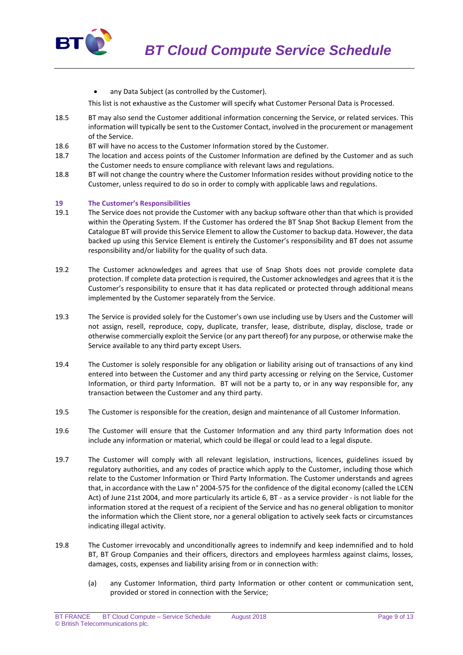

any Data Subject (as controlled by the Customer).

This list is not exhaustive as the Customer will specify what Customer Personal Data is Processed.

- 18.5 BT may also send the Customer additional information concerning the Service, or related services. This information will typically be sent to the Customer Contact, involved in the procurement or management of the Service.
- 18.6 BT will have no access to the Customer Information stored by the Customer.
- 18.7 The location and access points of the Customer Information are defined by the Customer and as such the Customer needs to ensure compliance with relevant laws and regulations.
- 18.8 BT will not change the country where the Customer Information resides without providing notice to the Customer, unless required to do so in order to comply with applicable laws and regulations.

## **19 The Customer's Responsibilities**

- 19.1 The Service does not provide the Customer with any backup software other than that which is provided within the Operating System. If the Customer has ordered the BT Snap Shot Backup Element from the Catalogue BT will provide this Service Element to allow the Customer to backup data. However, the data backed up using this Service Element is entirely the Customer's responsibility and BT does not assume responsibility and/or liability for the quality of such data.
- 19.2 The Customer acknowledges and agrees that use of Snap Shots does not provide complete data protection. If complete data protection is required, the Customer acknowledges and agrees that it is the Customer's responsibility to ensure that it has data replicated or protected through additional means implemented by the Customer separately from the Service.
- 19.3 The Service is provided solely for the Customer's own use including use by Users and the Customer will not assign, resell, reproduce, copy, duplicate, transfer, lease, distribute, display, disclose, trade or otherwise commercially exploit the Service (or any part thereof) for any purpose, or otherwise make the Service available to any third party except Users.
- 19.4 The Customer is solely responsible for any obligation or liability arising out of transactions of any kind entered into between the Customer and any third party accessing or relying on the Service, Customer Information, or third party Information. BT will not be a party to, or in any way responsible for, any transaction between the Customer and any third party.
- 19.5 The Customer is responsible for the creation, design and maintenance of all Customer Information.
- 19.6 The Customer will ensure that the Customer Information and any third party Information does not include any information or material, which could be illegal or could lead to a legal dispute.
- 19.7 The Customer will comply with all relevant legislation, instructions, licences, guidelines issued by regulatory authorities, and any codes of practice which apply to the Customer, including those which relate to the Customer Information or Third Party Information. The Customer understands and agrees that, in accordance with the Law n° 2004-575 for the confidence of the digital economy (called the LCEN Act) of June 21st 2004, and more particularly its article 6, BT - as a service provider - is not liable for the information stored at the request of a recipient of the Service and has no general obligation to monitor the information which the Client store, nor a general obligation to actively seek facts or circumstances indicating illegal activity.
- 19.8 The Customer irrevocably and unconditionally agrees to indemnify and keep indemnified and to hold BT, BT Group Companies and their officers, directors and employees harmless against claims, losses, damages, costs, expenses and liability arising from or in connection with:
	- (a) any Customer Information, third party Information or other content or communication sent, provided or stored in connection with the Service;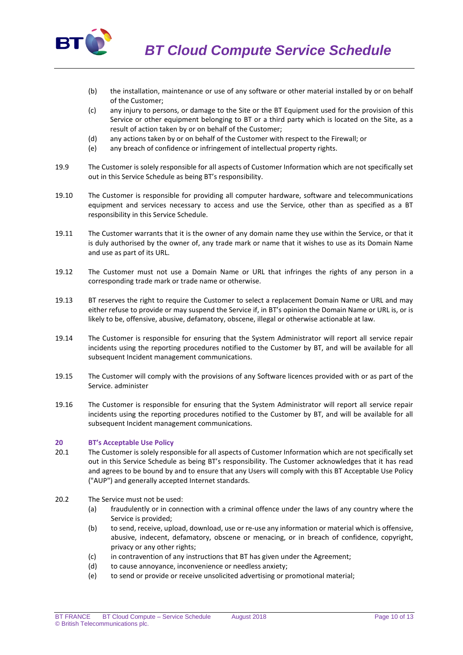

*BT Cloud Compute Service Schedule*

- (b) the installation, maintenance or use of any software or other material installed by or on behalf of the Customer;
- (c) any injury to persons, or damage to the Site or the BT Equipment used for the provision of this Service or other equipment belonging to BT or a third party which is located on the Site, as a result of action taken by or on behalf of the Customer;
- (d) any actions taken by or on behalf of the Customer with respect to the Firewall; or
- (e) any breach of confidence or infringement of intellectual property rights.
- 19.9 The Customer is solely responsible for all aspects of Customer Information which are not specifically set out in this Service Schedule as being BT's responsibility.
- 19.10 The Customer is responsible for providing all computer hardware, software and telecommunications equipment and services necessary to access and use the Service, other than as specified as a BT responsibility in this Service Schedule.
- 19.11 The Customer warrants that it is the owner of any domain name they use within the Service, or that it is duly authorised by the owner of, any trade mark or name that it wishes to use as its Domain Name and use as part of its URL.
- 19.12 The Customer must not use a Domain Name or URL that infringes the rights of any person in a corresponding trade mark or trade name or otherwise.
- 19.13 BT reserves the right to require the Customer to select a replacement Domain Name or URL and may either refuse to provide or may suspend the Service if, in BT's opinion the Domain Name or URL is, or is likely to be, offensive, abusive, defamatory, obscene, illegal or otherwise actionable at law.
- 19.14 The Customer is responsible for ensuring that the System Administrator will report all service repair incidents using the reporting procedures notified to the Customer by BT, and will be available for all subsequent Incident management communications.
- 19.15 The Customer will comply with the provisions of any Software licences provided with or as part of the Service. administer
- 19.16 The Customer is responsible for ensuring that the System Administrator will report all service repair incidents using the reporting procedures notified to the Customer by BT, and will be available for all subsequent Incident management communications.

## **20 BT's Acceptable Use Policy**

- 20.1 The Customer is solely responsible for all aspects of Customer Information which are not specifically set out in this Service Schedule as being BT's responsibility. The Customer acknowledges that it has read and agrees to be bound by and to ensure that any Users will comply with this BT Acceptable Use Policy ("AUP") and generally accepted Internet standards.
- 20.2 The Service must not be used:
	- (a) fraudulently or in connection with a criminal offence under the laws of any country where the Service is provided;
	- (b) to send, receive, upload, download, use or re-use any information or material which is offensive, abusive, indecent, defamatory, obscene or menacing, or in breach of confidence, copyright, privacy or any other rights;
	- (c) in contravention of any instructions that BT has given under the Agreement;<br>(d) to cause annoyance, inconvenience or needless anxiety:
	- to cause annoyance, inconvenience or needless anxiety;
	- (e) to send or provide or receive unsolicited advertising or promotional material;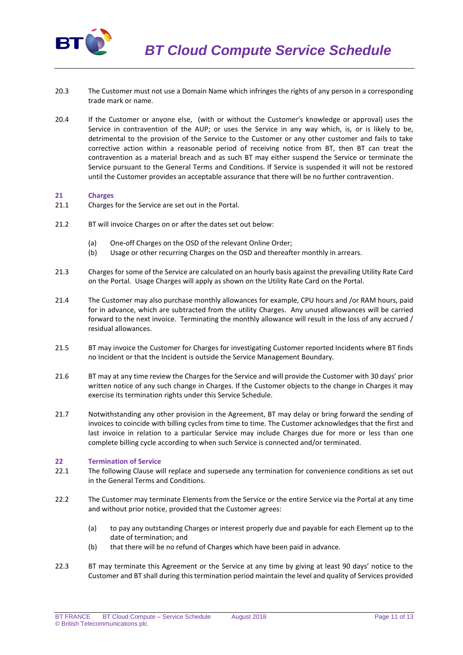

- 20.3 The Customer must not use a Domain Name which infringes the rights of any person in a corresponding trade mark or name.
- 20.4 If the Customer or anyone else, (with or without the Customer's knowledge or approval) uses the Service in contravention of the AUP; or uses the Service in any way which, is, or is likely to be, detrimental to the provision of the Service to the Customer or any other customer and fails to take corrective action within a reasonable period of receiving notice from BT, then BT can treat the contravention as a material breach and as such BT may either suspend the Service or terminate the Service pursuant to the General Terms and Conditions. If Service is suspended it will not be restored until the Customer provides an acceptable assurance that there will be no further contravention.

### **21 Charges**

- 21.1 Charges for the Service are set out in the Portal.
- 21.2 BT will invoice Charges on or after the dates set out below:
	- (a) One-off Charges on the OSD of the relevant Online Order;
	- (b) Usage or other recurring Charges on the OSD and thereafter monthly in arrears.
- 21.3 Charges for some of the Service are calculated on an hourly basis against the prevailing Utility Rate Card on the Portal. Usage Charges will apply as shown on the Utility Rate Card on the Portal.
- 21.4 The Customer may also purchase monthly allowances for example, CPU hours and /or RAM hours, paid for in advance, which are subtracted from the utility Charges. Any unused allowances will be carried forward to the next invoice. Terminating the monthly allowance will result in the loss of any accrued / residual allowances.
- 21.5 BT may invoice the Customer for Charges for investigating Customer reported Incidents where BT finds no Incident or that the Incident is outside the Service Management Boundary.
- 21.6 BT may at any time review the Charges for the Service and will provide the Customer with 30 days' prior written notice of any such change in Charges. If the Customer objects to the change in Charges it may exercise its termination rights under this Service Schedule.
- 21.7 Notwithstanding any other provision in the Agreement, BT may delay or bring forward the sending of invoices to coincide with billing cycles from time to time. The Customer acknowledges that the first and last invoice in relation to a particular Service may include Charges due for more or less than one complete billing cycle according to when such Service is connected and/or terminated.

#### **22 Termination of Service**

- 22.1 The following Clause will replace and supersede any termination for convenience conditions as set out in the General Terms and Conditions.
- 22.2 The Customer may terminate Elements from the Service or the entire Service via the Portal at any time and without prior notice, provided that the Customer agrees:
	- (a) to pay any outstanding Charges or interest properly due and payable for each Element up to the date of termination; and
	- (b) that there will be no refund of Charges which have been paid in advance.
- 22.3 BT may terminate this Agreement or the Service at any time by giving at least 90 days' notice to the Customer and BT shall during this termination period maintain the level and quality of Services provided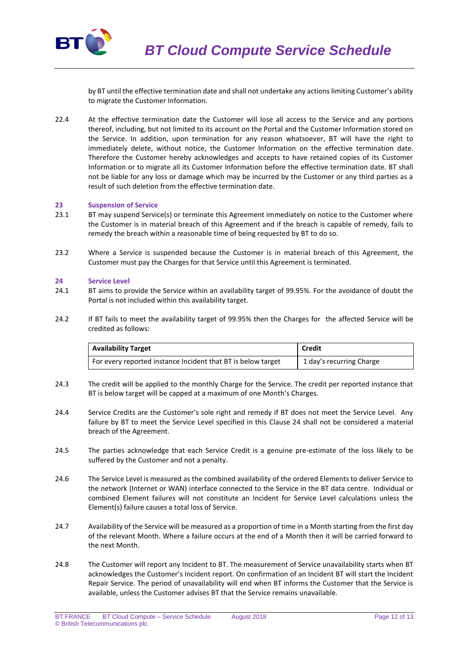

by BT until the effective termination date and shall not undertake any actions limiting Customer's ability to migrate the Customer Information.

22.4 At the effective termination date the Customer will lose all access to the Service and any portions thereof, including, but not limited to its account on the Portal and the Customer Information stored on the Service. In addition, upon termination for any reason whatsoever, BT will have the right to immediately delete, without notice, the Customer Information on the effective termination date. Therefore the Customer hereby acknowledges and accepts to have retained copies of its Customer Information or to migrate all its Customer Information before the effective termination date. BT shall not be liable for any loss or damage which may be incurred by the Customer or any third parties as a result of such deletion from the effective termination date.

### **23 Suspension of Service**

- 23.1 BT may suspend Service(s) or terminate this Agreement immediately on notice to the Customer where the Customer is in material breach of this Agreement and if the breach is capable of remedy, fails to remedy the breach within a reasonable time of being requested by BT to do so.
- 23.2 Where a Service is suspended because the Customer is in material breach of this Agreement, the Customer must pay the Charges for that Service until this Agreement is terminated.

#### **24 Service Level**

- 24.1 BT aims to provide the Service within an availability target of 99.95%. For the avoidance of doubt the Portal is not included within this availability target.
- 24.2 If BT fails to meet the availability target of 99.95% then the Charges for the affected Service will be credited as follows:

| <b>Availability Target</b>                                   | Credit                   |
|--------------------------------------------------------------|--------------------------|
| For every reported instance Incident that BT is below target | 1 day's recurring Charge |

- 24.3 The credit will be applied to the monthly Charge for the Service. The credit per reported instance that BT is below target will be capped at a maximum of one Month's Charges.
- 24.4 Service Credits are the Customer's sole right and remedy if BT does not meet the Service Level. Any failure by BT to meet the Service Level specified in this Clause 24 shall not be considered a material breach of the Agreement.
- 24.5 The parties acknowledge that each Service Credit is a genuine pre-estimate of the loss likely to be suffered by the Customer and not a penalty.
- 24.6 The Service Level is measured as the combined availability of the ordered Elements to deliver Service to the network (Internet or WAN) interface connected to the Service in the BT data centre. Individual or combined Element failures will not constitute an Incident for Service Level calculations unless the Element(s) failure causes a total loss of Service.
- 24.7 Availability of the Service will be measured as a proportion of time in a Month starting from the first day of the relevant Month. Where a failure occurs at the end of a Month then it will be carried forward to the next Month.
- 24.8 The Customer will report any Incident to BT. The measurement of Service unavailability starts when BT acknowledges the Customer's Incident report. On confirmation of an Incident BT will start the Incident Repair Service. The period of unavailability will end when BT informs the Customer that the Service is available, unless the Customer advises BT that the Service remains unavailable.